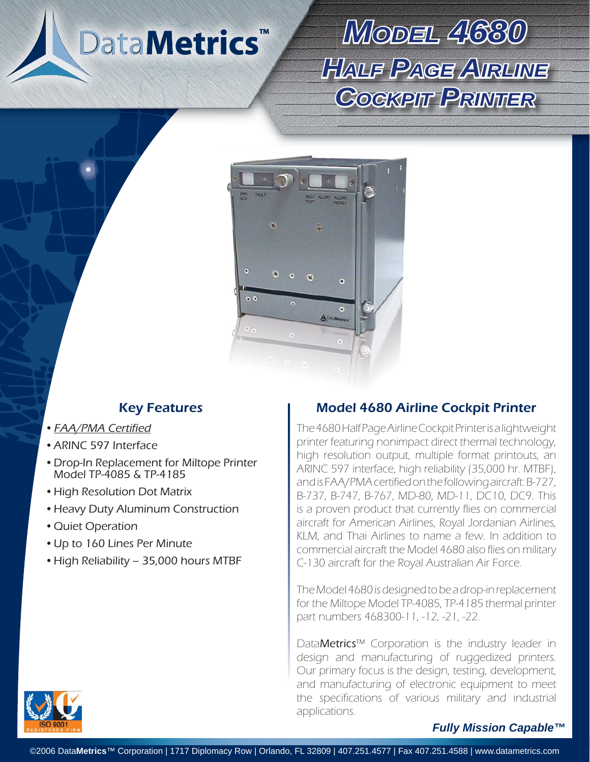DataMetrics<sup>™</sup>

# *MODEL4680 HALF PAGE AIRLINE* **COGKPIT PRINTER**



#### • **FAA/PMA Certified**

- ARINC 597 Interface •
- Drop-In Replacement for Miltope Printer Model TP-4085 & TP-4185
- High Resolution Dot Matrix
- Heavy Duty Aluminum Construction
- Quiet Operation
- Up to 160 Lines Per Minute
- High Reliability 35,000 hours MTBF

### Key Features **Model 4680 Airline Cockpit Printer**

The 4680 Half Page Airline Cockpit Printer is a lightweight printer featuring nonimpact direct thermal technology, high resolution output, multiple format printouts, an ARINC 597 interface, high reliability (35,000 hr. MTBF), and is FAA/PMA certified on the following aircraft: B-727, B-737, B-747, B-767, MD-80, MD-11, DC10, DC9. This is a proven product that currently flies on commercial aircraft for American Airlines, Royal Jordanian Airlines, KLM, and Thai Airlines to name a few. In addition to commercial aircraft the Model 4680 also flies on military C-130 aircraft for the Royal Australian Air Force.

The Model 4680 is designed to be a drop-in replacement for the Miltope Model TP-4085, TP-4185 thermal printer part numbers 468300-11, -12, -21, -22.

DataMetrics™ Corporation is the industry leader in design and manufacturing of ruggedized printers. Our primary focus is the design, testing, development, and manufacturing of electronic equipment to meet the specifications of various military and industrial applications.

#### *Fully Mission Capable™*